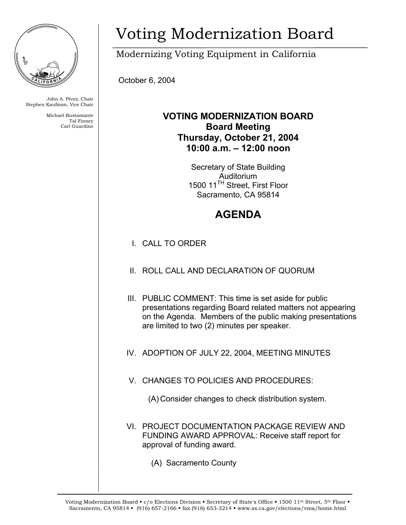

John A. Pérez, Chair Stephen Kaufman, Vice Chair

> Michael Bustamante Tal Finney Carl Guardino

## Voting Modernization Board

Modernizing Voting Equipment in California

October 6, 2004

## **VOTING MODERNIZATION BOARD Board Meeting Thursday, October 21, 2004 10:00 a.m. – 12:00 noon**

Secretary of State Building Auditorium 1500 11TH Street, First Floor Sacramento, CA 95814

## **AGENDA**

- I. CALL TO ORDER
- II. ROLL CALL AND DECLARATION OF QUORUM
- III. PUBLIC COMMENT: This time is set aside for public presentations regarding Board related matters not appearing on the Agenda. Members of the public making presentations are limited to two (2) minutes per speaker.
- IV. ADOPTION OF JULY 22, 2004, MEETING MINUTES
- V. CHANGES TO POLICIES AND PROCEDURES:
	- (A) Consider changes to check distribution system.
- VI. PROJECT DOCUMENTATION PACKAGE REVIEW AND FUNDING AWARD APPROVAL: Receive staff report for approval of funding award.
	- (A) Sacramento County